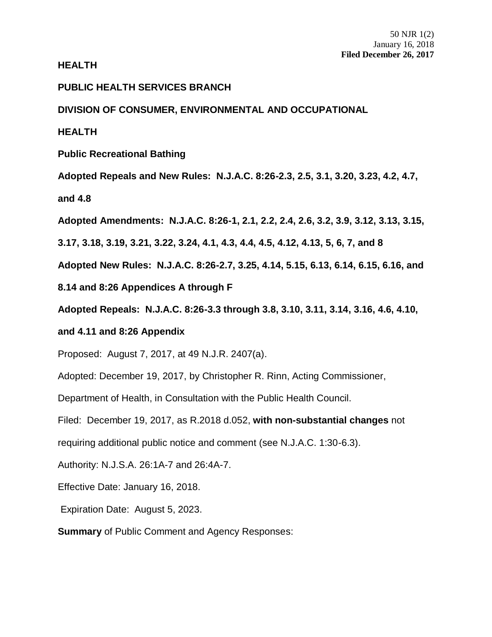**HEALTH**

## **PUBLIC HEALTH SERVICES BRANCH**

# **DIVISION OF CONSUMER, ENVIRONMENTAL AND OCCUPATIONAL**

**HEALTH**

**Public Recreational Bathing**

**Adopted Repeals and New Rules: N.J.A.C. 8:26-2.3, 2.5, 3.1, 3.20, 3.23, 4.2, 4.7,** 

**and 4.8**

**Adopted Amendments: N.J.A.C. 8:26-1, 2.1, 2.2, 2.4, 2.6, 3.2, 3.9, 3.12, 3.13, 3.15,** 

**3.17, 3.18, 3.19, 3.21, 3.22, 3.24, 4.1, 4.3, 4.4, 4.5, 4.12, 4.13, 5, 6, 7, and 8**

**Adopted New Rules: N.J.A.C. 8:26-2.7, 3.25, 4.14, 5.15, 6.13, 6.14, 6.15, 6.16, and** 

**8.14 and 8:26 Appendices A through F**

**Adopted Repeals: N.J.A.C. 8:26-3.3 through 3.8, 3.10, 3.11, 3.14, 3.16, 4.6, 4.10,** 

## **and 4.11 and 8:26 Appendix**

Proposed: August 7, 2017, at 49 N.J.R. 2407(a).

Adopted: December 19, 2017, by Christopher R. Rinn, Acting Commissioner,

Department of Health, in Consultation with the Public Health Council.

Filed: December 19, 2017, as R.2018 d.052, **with non-substantial changes** not

requiring additional public notice and comment (see N.J.A.C. 1:30-6.3).

Authority: [N.J.S.A. 26:1A-7 and 26:4A-7.](https://web.lexisnexis.com/research/buttonTFLink?_m=7f839a864e627bdeb65131183d99d57b&_xfercite=%3ccite%20cc%3d%22USA%22%3e%3c%21%5bCDATA%5b47%20N.J.R.%202063%28a%29%5d%5d%3e%3c%2fcite%3e&_butType=4&_butStat=0&_butNum=6&_butInline=1&_butinfo=NJCODE%2026%3a2H-1&_fmtstr=FULL&docnum=2&_startdoc=1&wchp=dGLbVzt-zSkAA&_md5=e719b5d7b084245c401e2da980a12163)

Effective Date: January 16, 2018.

Expiration Date: August 5, 2023.

**Summary** of Public Comment and Agency Responses: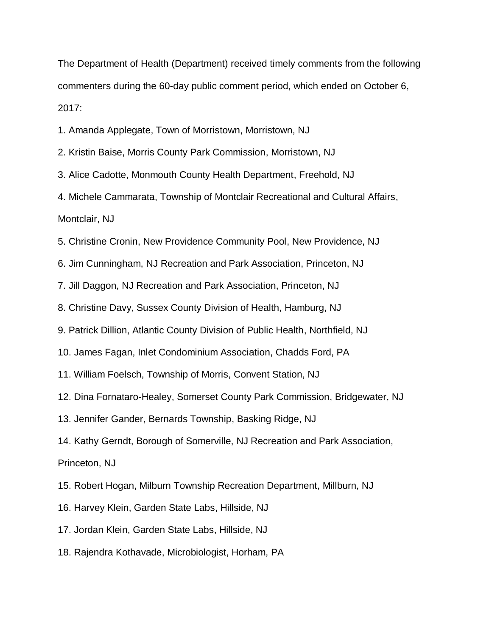The Department of Health (Department) received timely comments from the following commenters during the 60-day public comment period, which ended on October 6, 2017:

1. Amanda Applegate, Town of Morristown, Morristown, NJ

2. Kristin Baise, Morris County Park Commission, Morristown, NJ

3. Alice Cadotte, Monmouth County Health Department, Freehold, NJ

4. Michele Cammarata, Township of Montclair Recreational and Cultural Affairs, Montclair, NJ

5. Christine Cronin, New Providence Community Pool, New Providence, NJ

6. Jim Cunningham, NJ Recreation and Park Association, Princeton, NJ

7. Jill Daggon, NJ Recreation and Park Association, Princeton, NJ

8. Christine Davy, Sussex County Division of Health, Hamburg, NJ

9. Patrick Dillion, Atlantic County Division of Public Health, Northfield, NJ

10. James Fagan, Inlet Condominium Association, Chadds Ford, PA

11. William Foelsch, Township of Morris, Convent Station, NJ

12. Dina Fornataro-Healey, Somerset County Park Commission, Bridgewater, NJ

13. Jennifer Gander, Bernards Township, Basking Ridge, NJ

14. Kathy Gerndt, Borough of Somerville, NJ Recreation and Park Association,

Princeton, NJ

15. Robert Hogan, Milburn Township Recreation Department, Millburn, NJ

16. Harvey Klein, Garden State Labs, Hillside, NJ

17. Jordan Klein, Garden State Labs, Hillside, NJ

18. Rajendra Kothavade, Microbiologist, Horham, PA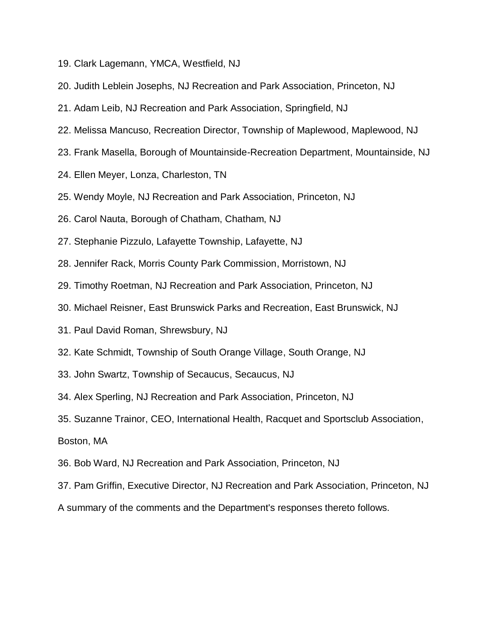- 19. Clark Lagemann, YMCA, Westfield, NJ
- 20. Judith Leblein Josephs, NJ Recreation and Park Association, Princeton, NJ
- 21. Adam Leib, NJ Recreation and Park Association, Springfield, NJ
- 22. Melissa Mancuso, Recreation Director, Township of Maplewood, Maplewood, NJ
- 23. Frank Masella, Borough of Mountainside-Recreation Department, Mountainside, NJ
- 24. Ellen Meyer, Lonza, Charleston, TN
- 25. Wendy Moyle, NJ Recreation and Park Association, Princeton, NJ
- 26. Carol Nauta, Borough of Chatham, Chatham, NJ
- 27. Stephanie Pizzulo, Lafayette Township, Lafayette, NJ
- 28. Jennifer Rack, Morris County Park Commission, Morristown, NJ
- 29. Timothy Roetman, NJ Recreation and Park Association, Princeton, NJ
- 30. Michael Reisner, East Brunswick Parks and Recreation, East Brunswick, NJ
- 31. Paul David Roman, Shrewsbury, NJ
- 32. Kate Schmidt, Township of South Orange Village, South Orange, NJ
- 33. John Swartz, Township of Secaucus, Secaucus, NJ
- 34. Alex Sperling, NJ Recreation and Park Association, Princeton, NJ
- 35. Suzanne Trainor, CEO, International Health, Racquet and Sportsclub Association,

Boston, MA

- 36. Bob Ward, NJ Recreation and Park Association, Princeton, NJ
- 37. Pam Griffin, Executive Director, NJ Recreation and Park Association, Princeton, NJ
- A summary of the comments and the Department's responses thereto follows.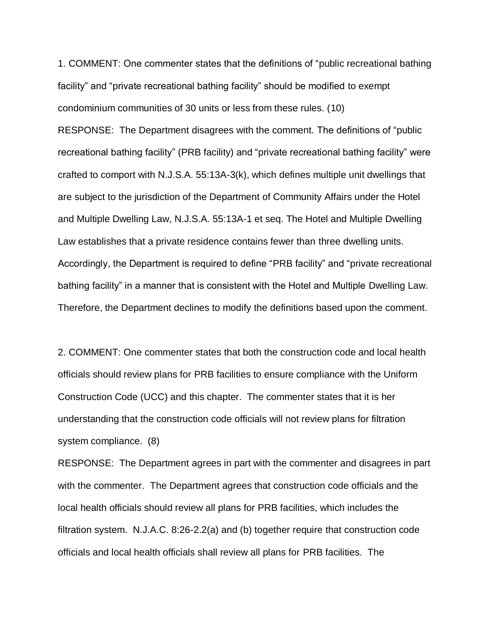1. COMMENT: One commenter states that the definitions of "public recreational bathing facility" and "private recreational bathing facility" should be modified to exempt condominium communities of 30 units or less from these rules. (10)

RESPONSE: The Department disagrees with the comment. The definitions of "public recreational bathing facility" (PRB facility) and "private recreational bathing facility" were crafted to comport with N.J.S.A. 55:13A-3(k), which defines multiple unit dwellings that are subject to the jurisdiction of the Department of Community Affairs under the Hotel and Multiple Dwelling Law, N.J.S.A. 55:13A-1 et seq. The Hotel and Multiple Dwelling Law establishes that a private residence contains fewer than three dwelling units. Accordingly, the Department is required to define "PRB facility" and "private recreational bathing facility" in a manner that is consistent with the Hotel and Multiple Dwelling Law. Therefore, the Department declines to modify the definitions based upon the comment.

2. COMMENT: One commenter states that both the construction code and local health officials should review plans for PRB facilities to ensure compliance with the Uniform Construction Code (UCC) and this chapter. The commenter states that it is her understanding that the construction code officials will not review plans for filtration system compliance. (8)

RESPONSE: The Department agrees in part with the commenter and disagrees in part with the commenter. The Department agrees that construction code officials and the local health officials should review all plans for PRB facilities, which includes the filtration system. N.J.A.C. 8:26-2.2(a) and (b) together require that construction code officials and local health officials shall review all plans for PRB facilities. The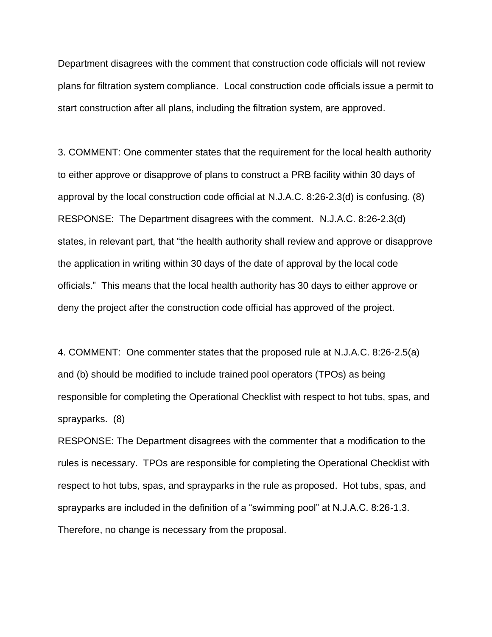Department disagrees with the comment that construction code officials will not review plans for filtration system compliance. Local construction code officials issue a permit to start construction after all plans, including the filtration system, are approved.

3. COMMENT: One commenter states that the requirement for the local health authority to either approve or disapprove of plans to construct a PRB facility within 30 days of approval by the local construction code official at N.J.A.C. 8:26-2.3(d) is confusing. (8) RESPONSE: The Department disagrees with the comment. N.J.A.C. 8:26-2.3(d) states, in relevant part, that "the health authority shall review and approve or disapprove the application in writing within 30 days of the date of approval by the local code officials." This means that the local health authority has 30 days to either approve or deny the project after the construction code official has approved of the project.

4. COMMENT: One commenter states that the proposed rule at N.J.A.C. 8:26-2.5(a) and (b) should be modified to include trained pool operators (TPOs) as being responsible for completing the Operational Checklist with respect to hot tubs, spas, and sprayparks. (8)

RESPONSE: The Department disagrees with the commenter that a modification to the rules is necessary. TPOs are responsible for completing the Operational Checklist with respect to hot tubs, spas, and sprayparks in the rule as proposed. Hot tubs, spas, and sprayparks are included in the definition of a "swimming pool" at N.J.A.C. 8:26-1.3. Therefore, no change is necessary from the proposal.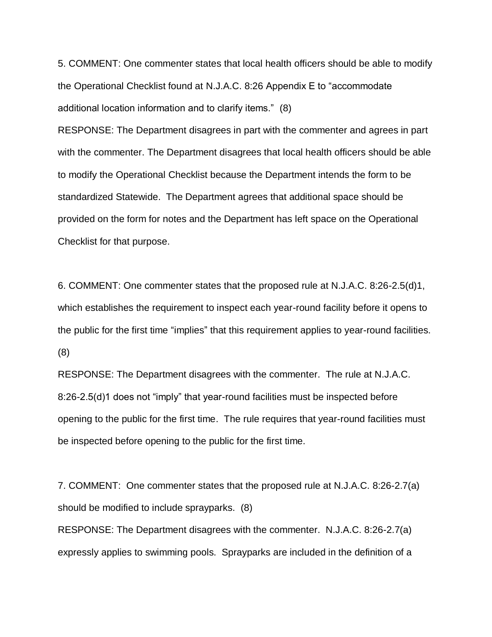5. COMMENT: One commenter states that local health officers should be able to modify the Operational Checklist found at N.J.A.C. 8:26 Appendix E to "accommodate additional location information and to clarify items." (8)

RESPONSE: The Department disagrees in part with the commenter and agrees in part with the commenter. The Department disagrees that local health officers should be able to modify the Operational Checklist because the Department intends the form to be standardized Statewide. The Department agrees that additional space should be provided on the form for notes and the Department has left space on the Operational Checklist for that purpose.

6. COMMENT: One commenter states that the proposed rule at N.J.A.C. 8:26-2.5(d)1, which establishes the requirement to inspect each year-round facility before it opens to the public for the first time "implies" that this requirement applies to year-round facilities. (8)

RESPONSE: The Department disagrees with the commenter. The rule at N.J.A.C. 8:26-2.5(d)1 does not "imply" that year-round facilities must be inspected before opening to the public for the first time. The rule requires that year-round facilities must be inspected before opening to the public for the first time.

7. COMMENT: One commenter states that the proposed rule at N.J.A.C. 8:26-2.7(a) should be modified to include sprayparks. (8)

RESPONSE: The Department disagrees with the commenter. N.J.A.C. 8:26-2.7(a) expressly applies to swimming pools. Sprayparks are included in the definition of a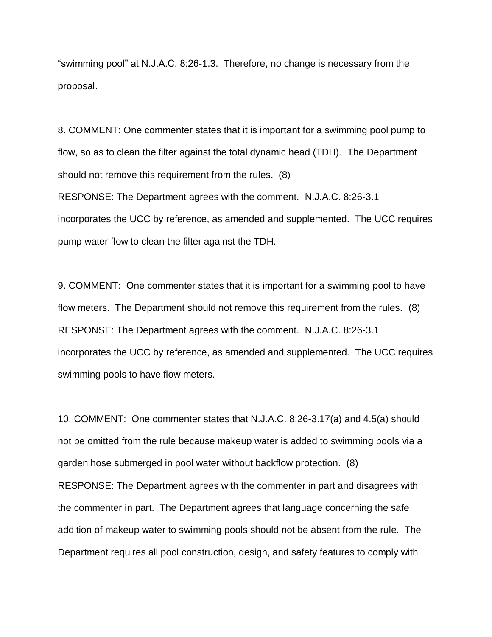"swimming pool" at N.J.A.C. 8:26-1.3. Therefore, no change is necessary from the proposal.

8. COMMENT: One commenter states that it is important for a swimming pool pump to flow, so as to clean the filter against the total dynamic head (TDH). The Department should not remove this requirement from the rules. (8) RESPONSE: The Department agrees with the comment. N.J.A.C. 8:26-3.1 incorporates the UCC by reference, as amended and supplemented. The UCC requires pump water flow to clean the filter against the TDH.

9. COMMENT: One commenter states that it is important for a swimming pool to have flow meters. The Department should not remove this requirement from the rules. (8) RESPONSE: The Department agrees with the comment. N.J.A.C. 8:26-3.1 incorporates the UCC by reference, as amended and supplemented. The UCC requires swimming pools to have flow meters.

10. COMMENT: One commenter states that N.J.A.C. 8:26-3.17(a) and 4.5(a) should not be omitted from the rule because makeup water is added to swimming pools via a garden hose submerged in pool water without backflow protection. (8) RESPONSE: The Department agrees with the commenter in part and disagrees with the commenter in part. The Department agrees that language concerning the safe addition of makeup water to swimming pools should not be absent from the rule. The Department requires all pool construction, design, and safety features to comply with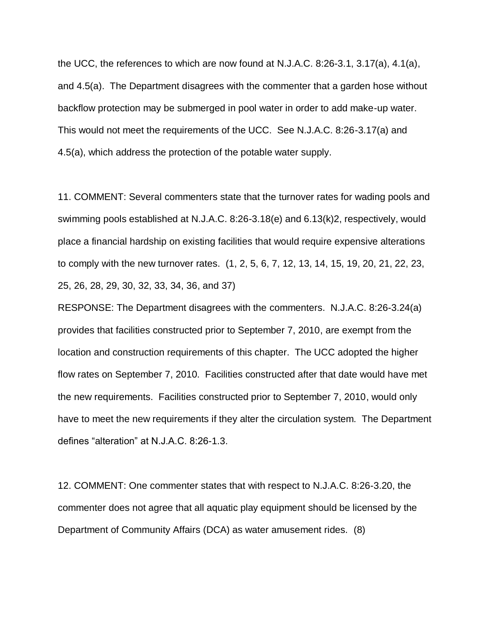the UCC, the references to which are now found at N.J.A.C. 8:26-3.1, 3.17(a), 4.1(a), and 4.5(a). The Department disagrees with the commenter that a garden hose without backflow protection may be submerged in pool water in order to add make-up water. This would not meet the requirements of the UCC. See N.J.A.C. 8:26-3.17(a) and 4.5(a), which address the protection of the potable water supply.

11. COMMENT: Several commenters state that the turnover rates for wading pools and swimming pools established at N.J.A.C. 8:26-3.18(e) and 6.13(k)2, respectively, would place a financial hardship on existing facilities that would require expensive alterations to comply with the new turnover rates. (1, 2, 5, 6, 7, 12, 13, 14, 15, 19, 20, 21, 22, 23, 25, 26, 28, 29, 30, 32, 33, 34, 36, and 37)

RESPONSE: The Department disagrees with the commenters. N.J.A.C. 8:26-3.24(a) provides that facilities constructed prior to September 7, 2010, are exempt from the location and construction requirements of this chapter. The UCC adopted the higher flow rates on September 7, 2010. Facilities constructed after that date would have met the new requirements. Facilities constructed prior to September 7, 2010, would only have to meet the new requirements if they alter the circulation system. The Department defines "alteration" at N.J.A.C. 8:26-1.3.

12. COMMENT: One commenter states that with respect to N.J.A.C. 8:26-3.20, the commenter does not agree that all aquatic play equipment should be licensed by the Department of Community Affairs (DCA) as water amusement rides. (8)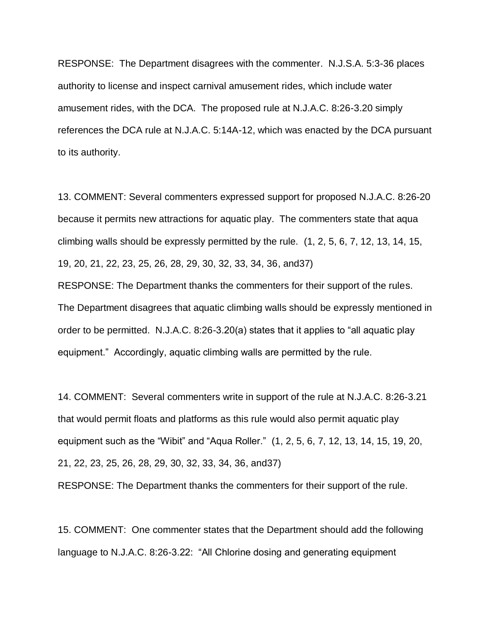RESPONSE: The Department disagrees with the commenter. N.J.S.A. 5:3-36 places authority to license and inspect carnival amusement rides, which include water amusement rides, with the DCA. The proposed rule at N.J.A.C. 8:26-3.20 simply references the DCA rule at N.J.A.C. 5:14A-12, which was enacted by the DCA pursuant to its authority.

13. COMMENT: Several commenters expressed support for proposed N.J.A.C. 8:26-20 because it permits new attractions for aquatic play. The commenters state that aqua climbing walls should be expressly permitted by the rule. (1, 2, 5, 6, 7, 12, 13, 14, 15, 19, 20, 21, 22, 23, 25, 26, 28, 29, 30, 32, 33, 34, 36, and37)

RESPONSE: The Department thanks the commenters for their support of the rules. The Department disagrees that aquatic climbing walls should be expressly mentioned in order to be permitted. N.J.A.C. 8:26-3.20(a) states that it applies to "all aquatic play equipment." Accordingly, aquatic climbing walls are permitted by the rule.

14. COMMENT: Several commenters write in support of the rule at N.J.A.C. 8:26-3.21 that would permit floats and platforms as this rule would also permit aquatic play equipment such as the "Wibit" and "Aqua Roller." (1, 2, 5, 6, 7, 12, 13, 14, 15, 19, 20, 21, 22, 23, 25, 26, 28, 29, 30, 32, 33, 34, 36, and37) RESPONSE: The Department thanks the commenters for their support of the rule.

15. COMMENT: One commenter states that the Department should add the following language to N.J.A.C. 8:26-3.22: "All Chlorine dosing and generating equipment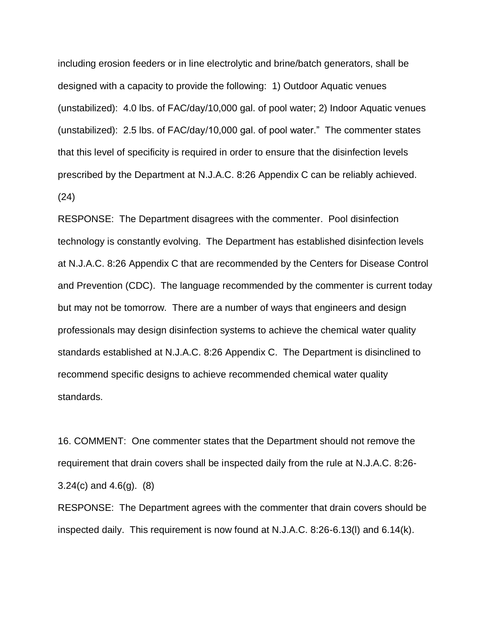including erosion feeders or in line electrolytic and brine/batch generators, shall be designed with a capacity to provide the following: 1) Outdoor Aquatic venues (unstabilized): 4.0 lbs. of FAC/day/10,000 gal. of pool water; 2) Indoor Aquatic venues (unstabilized): 2.5 lbs. of FAC/day/10,000 gal. of pool water." The commenter states that this level of specificity is required in order to ensure that the disinfection levels prescribed by the Department at N.J.A.C. 8:26 Appendix C can be reliably achieved. (24)

RESPONSE: The Department disagrees with the commenter. Pool disinfection technology is constantly evolving. The Department has established disinfection levels at N.J.A.C. 8:26 Appendix C that are recommended by the Centers for Disease Control and Prevention (CDC). The language recommended by the commenter is current today but may not be tomorrow. There are a number of ways that engineers and design professionals may design disinfection systems to achieve the chemical water quality standards established at N.J.A.C. 8:26 Appendix C. The Department is disinclined to recommend specific designs to achieve recommended chemical water quality standards.

16. COMMENT: One commenter states that the Department should not remove the requirement that drain covers shall be inspected daily from the rule at N.J.A.C. 8:26- 3.24(c) and 4.6(g). (8)

RESPONSE: The Department agrees with the commenter that drain covers should be inspected daily. This requirement is now found at N.J.A.C. 8:26-6.13(l) and 6.14(k).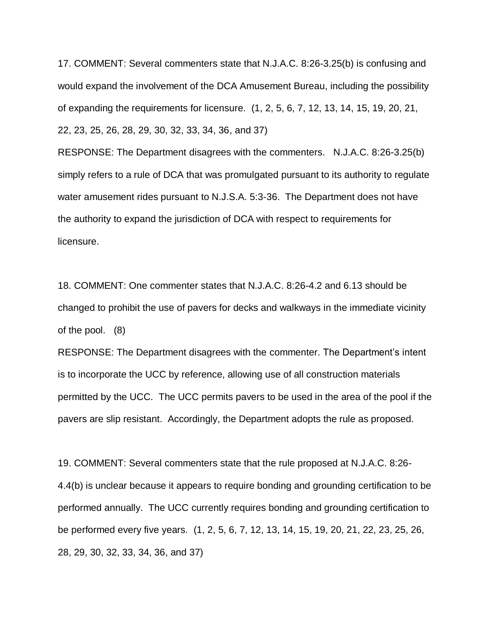17. COMMENT: Several commenters state that N.J.A.C. 8:26-3.25(b) is confusing and would expand the involvement of the DCA Amusement Bureau, including the possibility of expanding the requirements for licensure. (1, 2, 5, 6, 7, 12, 13, 14, 15, 19, 20, 21, 22, 23, 25, 26, 28, 29, 30, 32, 33, 34, 36, and 37)

RESPONSE: The Department disagrees with the commenters. N.J.A.C. 8:26-3.25(b) simply refers to a rule of DCA that was promulgated pursuant to its authority to regulate water amusement rides pursuant to N.J.S.A. 5:3-36. The Department does not have the authority to expand the jurisdiction of DCA with respect to requirements for licensure.

18. COMMENT: One commenter states that N.J.A.C. 8:26-4.2 and 6.13 should be changed to prohibit the use of pavers for decks and walkways in the immediate vicinity of the pool. (8)

RESPONSE: The Department disagrees with the commenter. The Department's intent is to incorporate the UCC by reference, allowing use of all construction materials permitted by the UCC. The UCC permits pavers to be used in the area of the pool if the pavers are slip resistant. Accordingly, the Department adopts the rule as proposed.

19. COMMENT: Several commenters state that the rule proposed at N.J.A.C. 8:26- 4.4(b) is unclear because it appears to require bonding and grounding certification to be performed annually. The UCC currently requires bonding and grounding certification to be performed every five years. (1, 2, 5, 6, 7, 12, 13, 14, 15, 19, 20, 21, 22, 23, 25, 26, 28, 29, 30, 32, 33, 34, 36, and 37)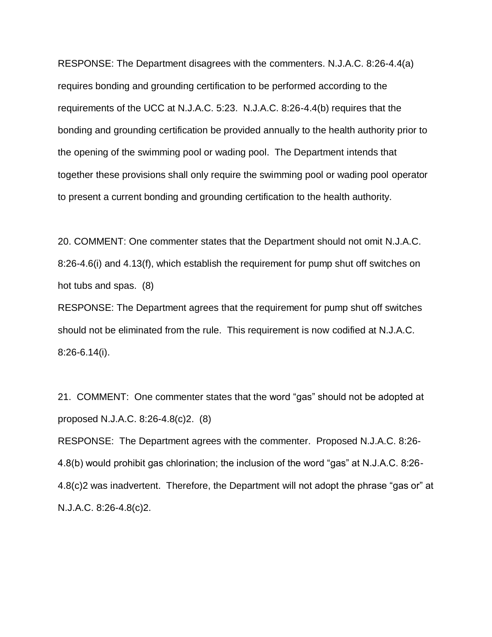RESPONSE: The Department disagrees with the commenters. N.J.A.C. 8:26-4.4(a) requires bonding and grounding certification to be performed according to the requirements of the UCC at N.J.A.C. 5:23. N.J.A.C. 8:26-4.4(b) requires that the bonding and grounding certification be provided annually to the health authority prior to the opening of the swimming pool or wading pool. The Department intends that together these provisions shall only require the swimming pool or wading pool operator to present a current bonding and grounding certification to the health authority.

20. COMMENT: One commenter states that the Department should not omit N.J.A.C. 8:26-4.6(i) and 4.13(f), which establish the requirement for pump shut off switches on hot tubs and spas. (8)

RESPONSE: The Department agrees that the requirement for pump shut off switches should not be eliminated from the rule. This requirement is now codified at N.J.A.C. 8:26-6.14(i).

21. COMMENT: One commenter states that the word "gas" should not be adopted at proposed N.J.A.C. 8:26-4.8(c)2. (8)

RESPONSE: The Department agrees with the commenter. Proposed N.J.A.C. 8:26- 4.8(b) would prohibit gas chlorination; the inclusion of the word "gas" at N.J.A.C. 8:26- 4.8(c)2 was inadvertent. Therefore, the Department will not adopt the phrase "gas or" at N.J.A.C. 8:26-4.8(c)2.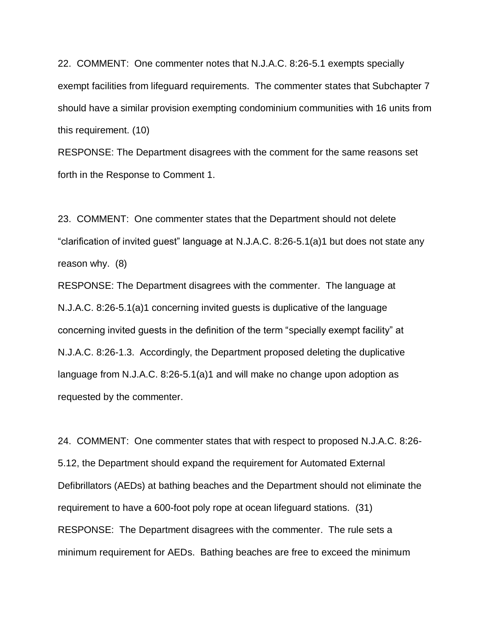22. COMMENT: One commenter notes that N.J.A.C. 8:26-5.1 exempts specially exempt facilities from lifeguard requirements. The commenter states that Subchapter 7 should have a similar provision exempting condominium communities with 16 units from this requirement. (10)

RESPONSE: The Department disagrees with the comment for the same reasons set forth in the Response to Comment 1.

23. COMMENT: One commenter states that the Department should not delete "clarification of invited guest" language at N.J.A.C. 8:26-5.1(a)1 but does not state any reason why. (8)

RESPONSE: The Department disagrees with the commenter. The language at N.J.A.C. 8:26-5.1(a)1 concerning invited guests is duplicative of the language concerning invited guests in the definition of the term "specially exempt facility" at N.J.A.C. 8:26-1.3. Accordingly, the Department proposed deleting the duplicative language from N.J.A.C. 8:26-5.1(a)1 and will make no change upon adoption as requested by the commenter.

24. COMMENT: One commenter states that with respect to proposed N.J.A.C. 8:26- 5.12, the Department should expand the requirement for Automated External Defibrillators (AEDs) at bathing beaches and the Department should not eliminate the requirement to have a 600-foot poly rope at ocean lifeguard stations. (31) RESPONSE: The Department disagrees with the commenter. The rule sets a minimum requirement for AEDs. Bathing beaches are free to exceed the minimum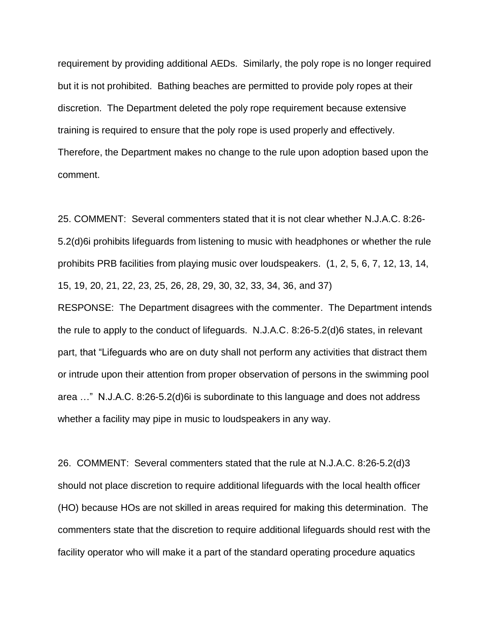requirement by providing additional AEDs. Similarly, the poly rope is no longer required but it is not prohibited. Bathing beaches are permitted to provide poly ropes at their discretion. The Department deleted the poly rope requirement because extensive training is required to ensure that the poly rope is used properly and effectively. Therefore, the Department makes no change to the rule upon adoption based upon the comment.

25. COMMENT: Several commenters stated that it is not clear whether N.J.A.C. 8:26- 5.2(d)6i prohibits lifeguards from listening to music with headphones or whether the rule prohibits PRB facilities from playing music over loudspeakers. (1, 2, 5, 6, 7, 12, 13, 14, 15, 19, 20, 21, 22, 23, 25, 26, 28, 29, 30, 32, 33, 34, 36, and 37)

RESPONSE: The Department disagrees with the commenter. The Department intends the rule to apply to the conduct of lifeguards. N.J.A.C. 8:26-5.2(d)6 states, in relevant part, that "Lifeguards who are on duty shall not perform any activities that distract them or intrude upon their attention from proper observation of persons in the swimming pool area …" N.J.A.C. 8:26-5.2(d)6i is subordinate to this language and does not address whether a facility may pipe in music to loudspeakers in any way.

26. COMMENT: Several commenters stated that the rule at N.J.A.C. 8:26-5.2(d)3 should not place discretion to require additional lifeguards with the local health officer (HO) because HOs are not skilled in areas required for making this determination. The commenters state that the discretion to require additional lifeguards should rest with the facility operator who will make it a part of the standard operating procedure aquatics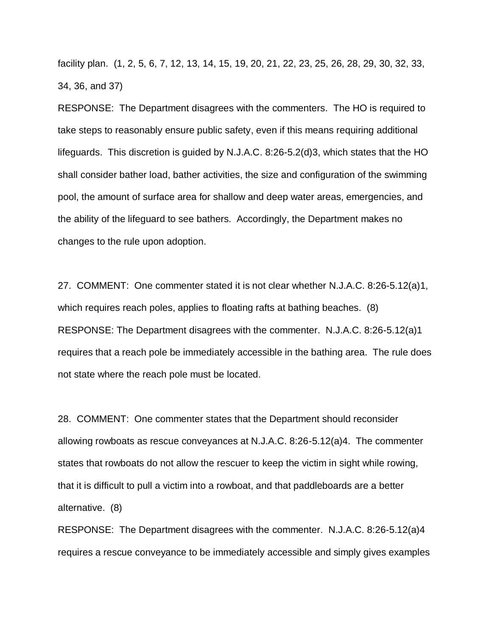facility plan. (1, 2, 5, 6, 7, 12, 13, 14, 15, 19, 20, 21, 22, 23, 25, 26, 28, 29, 30, 32, 33, 34, 36, and 37)

RESPONSE: The Department disagrees with the commenters. The HO is required to take steps to reasonably ensure public safety, even if this means requiring additional lifeguards. This discretion is guided by N.J.A.C. 8:26-5.2(d)3, which states that the HO shall consider bather load, bather activities, the size and configuration of the swimming pool, the amount of surface area for shallow and deep water areas, emergencies, and the ability of the lifeguard to see bathers. Accordingly, the Department makes no changes to the rule upon adoption.

27. COMMENT: One commenter stated it is not clear whether N.J.A.C. 8:26-5.12(a)1, which requires reach poles, applies to floating rafts at bathing beaches. (8) RESPONSE: The Department disagrees with the commenter. N.J.A.C. 8:26-5.12(a)1 requires that a reach pole be immediately accessible in the bathing area. The rule does not state where the reach pole must be located.

28. COMMENT: One commenter states that the Department should reconsider allowing rowboats as rescue conveyances at N.J.A.C. 8:26-5.12(a)4. The commenter states that rowboats do not allow the rescuer to keep the victim in sight while rowing, that it is difficult to pull a victim into a rowboat, and that paddleboards are a better alternative. (8)

RESPONSE: The Department disagrees with the commenter. N.J.A.C. 8:26-5.12(a)4 requires a rescue conveyance to be immediately accessible and simply gives examples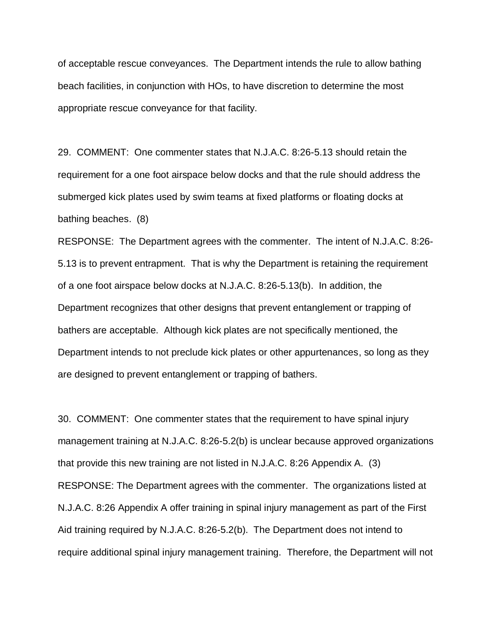of acceptable rescue conveyances. The Department intends the rule to allow bathing beach facilities, in conjunction with HOs, to have discretion to determine the most appropriate rescue conveyance for that facility.

29. COMMENT: One commenter states that N.J.A.C. 8:26-5.13 should retain the requirement for a one foot airspace below docks and that the rule should address the submerged kick plates used by swim teams at fixed platforms or floating docks at bathing beaches. (8)

RESPONSE: The Department agrees with the commenter. The intent of N.J.A.C. 8:26- 5.13 is to prevent entrapment. That is why the Department is retaining the requirement of a one foot airspace below docks at N.J.A.C. 8:26-5.13(b). In addition, the Department recognizes that other designs that prevent entanglement or trapping of bathers are acceptable. Although kick plates are not specifically mentioned, the Department intends to not preclude kick plates or other appurtenances, so long as they are designed to prevent entanglement or trapping of bathers.

30. COMMENT: One commenter states that the requirement to have spinal injury management training at N.J.A.C. 8:26-5.2(b) is unclear because approved organizations that provide this new training are not listed in N.J.A.C. 8:26 Appendix A. (3) RESPONSE: The Department agrees with the commenter. The organizations listed at N.J.A.C. 8:26 Appendix A offer training in spinal injury management as part of the First Aid training required by N.J.A.C. 8:26-5.2(b). The Department does not intend to require additional spinal injury management training. Therefore, the Department will not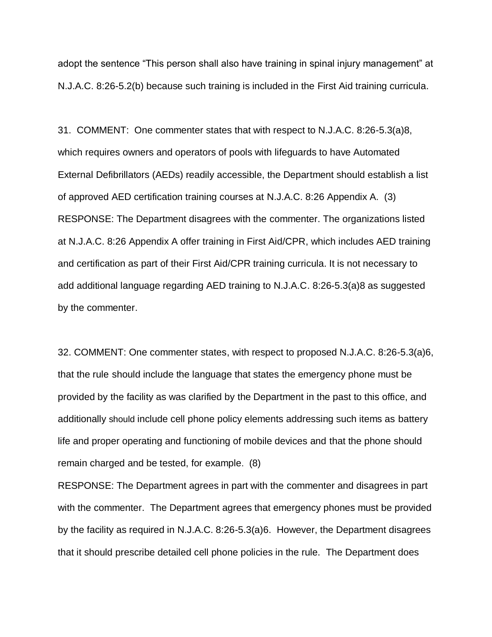adopt the sentence "This person shall also have training in spinal injury management" at N.J.A.C. 8:26-5.2(b) because such training is included in the First Aid training curricula.

31. COMMENT: One commenter states that with respect to N.J.A.C. 8:26-5.3(a)8, which requires owners and operators of pools with lifeguards to have Automated External Defibrillators (AEDs) readily accessible, the Department should establish a list of approved AED certification training courses at N.J.A.C. 8:26 Appendix A. (3) RESPONSE: The Department disagrees with the commenter. The organizations listed at N.J.A.C. 8:26 Appendix A offer training in First Aid/CPR, which includes AED training and certification as part of their First Aid/CPR training curricula. It is not necessary to add additional language regarding AED training to N.J.A.C. 8:26-5.3(a)8 as suggested by the commenter.

32. COMMENT: One commenter states, with respect to proposed N.J.A.C. 8:26-5.3(a)6, that the rule should include the language that states the emergency phone must be provided by the facility as was clarified by the Department in the past to this office, and additionally should include cell phone policy elements addressing such items as battery life and proper operating and functioning of mobile devices and that the phone should remain charged and be tested, for example. (8)

RESPONSE: The Department agrees in part with the commenter and disagrees in part with the commenter. The Department agrees that emergency phones must be provided by the facility as required in N.J.A.C. 8:26-5.3(a)6. However, the Department disagrees that it should prescribe detailed cell phone policies in the rule. The Department does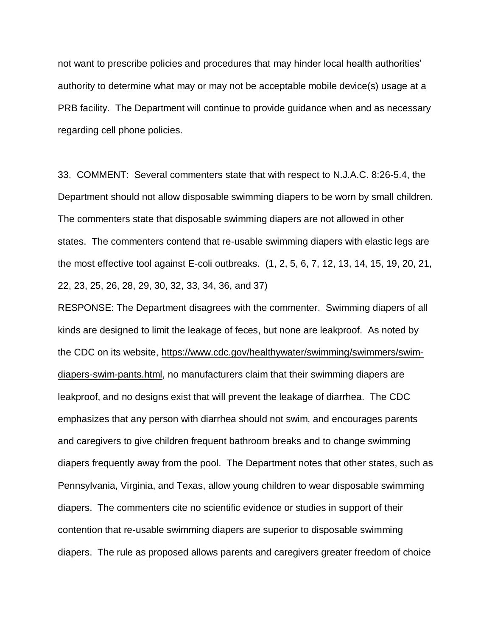not want to prescribe policies and procedures that may hinder local health authorities' authority to determine what may or may not be acceptable mobile device(s) usage at a PRB facility. The Department will continue to provide guidance when and as necessary regarding cell phone policies.

33. COMMENT: Several commenters state that with respect to N.J.A.C. 8:26-5.4, the Department should not allow disposable swimming diapers to be worn by small children. The commenters state that disposable swimming diapers are not allowed in other states. The commenters contend that re-usable swimming diapers with elastic legs are the most effective tool against E-coli outbreaks. (1, 2, 5, 6, 7, 12, 13, 14, 15, 19, 20, 21, 22, 23, 25, 26, 28, 29, 30, 32, 33, 34, 36, and 37)

RESPONSE: The Department disagrees with the commenter. Swimming diapers of all kinds are designed to limit the leakage of feces, but none are leakproof. As noted by the CDC on its website, https://www.cdc.gov/healthywater/swimming/swimmers/swimdiapers-swim-pants.html, no manufacturers claim that their swimming diapers are leakproof, and no designs exist that will prevent the leakage of diarrhea. The CDC emphasizes that any person with diarrhea should not swim, and encourages parents and caregivers to give children frequent bathroom breaks and to change swimming diapers frequently away from the pool. The Department notes that other states, such as Pennsylvania, Virginia, and Texas, allow young children to wear disposable swimming diapers. The commenters cite no scientific evidence or studies in support of their contention that re-usable swimming diapers are superior to disposable swimming diapers. The rule as proposed allows parents and caregivers greater freedom of choice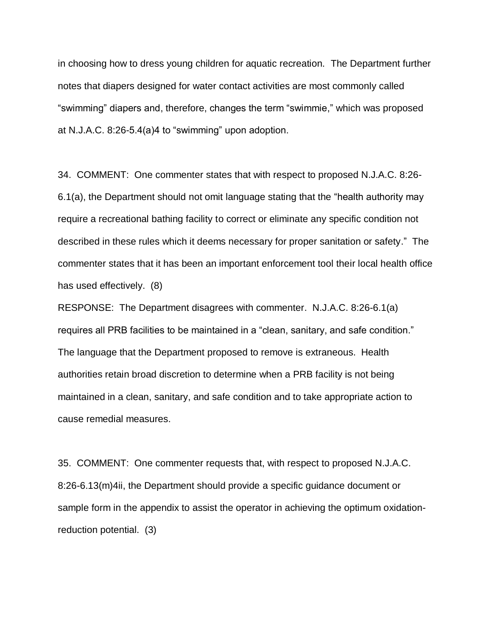in choosing how to dress young children for aquatic recreation. The Department further notes that diapers designed for water contact activities are most commonly called "swimming" diapers and, therefore, changes the term "swimmie," which was proposed at N.J.A.C. 8:26-5.4(a)4 to "swimming" upon adoption.

34. COMMENT: One commenter states that with respect to proposed N.J.A.C. 8:26- 6.1(a), the Department should not omit language stating that the "health authority may require a recreational bathing facility to correct or eliminate any specific condition not described in these rules which it deems necessary for proper sanitation or safety." The commenter states that it has been an important enforcement tool their local health office has used effectively. (8)

RESPONSE: The Department disagrees with commenter. N.J.A.C. 8:26-6.1(a) requires all PRB facilities to be maintained in a "clean, sanitary, and safe condition." The language that the Department proposed to remove is extraneous. Health authorities retain broad discretion to determine when a PRB facility is not being maintained in a clean, sanitary, and safe condition and to take appropriate action to cause remedial measures.

35. COMMENT: One commenter requests that, with respect to proposed N.J.A.C. 8:26-6.13(m)4ii, the Department should provide a specific guidance document or sample form in the appendix to assist the operator in achieving the optimum oxidationreduction potential. (3)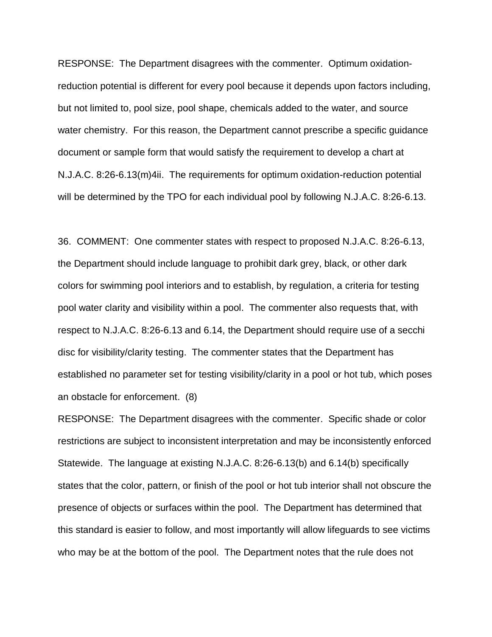RESPONSE: The Department disagrees with the commenter. Optimum oxidationreduction potential is different for every pool because it depends upon factors including, but not limited to, pool size, pool shape, chemicals added to the water, and source water chemistry. For this reason, the Department cannot prescribe a specific guidance document or sample form that would satisfy the requirement to develop a chart at N.J.A.C. 8:26-6.13(m)4ii. The requirements for optimum oxidation-reduction potential will be determined by the TPO for each individual pool by following N.J.A.C. 8:26-6.13.

36. COMMENT: One commenter states with respect to proposed N.J.A.C. 8:26-6.13, the Department should include language to prohibit dark grey, black, or other dark colors for swimming pool interiors and to establish, by regulation, a criteria for testing pool water clarity and visibility within a pool. The commenter also requests that, with respect to N.J.A.C. 8:26-6.13 and 6.14, the Department should require use of a secchi disc for visibility/clarity testing. The commenter states that the Department has established no parameter set for testing visibility/clarity in a pool or hot tub, which poses an obstacle for enforcement. (8)

RESPONSE: The Department disagrees with the commenter. Specific shade or color restrictions are subject to inconsistent interpretation and may be inconsistently enforced Statewide. The language at existing N.J.A.C. 8:26-6.13(b) and 6.14(b) specifically states that the color, pattern, or finish of the pool or hot tub interior shall not obscure the presence of objects or surfaces within the pool. The Department has determined that this standard is easier to follow, and most importantly will allow lifeguards to see victims who may be at the bottom of the pool. The Department notes that the rule does not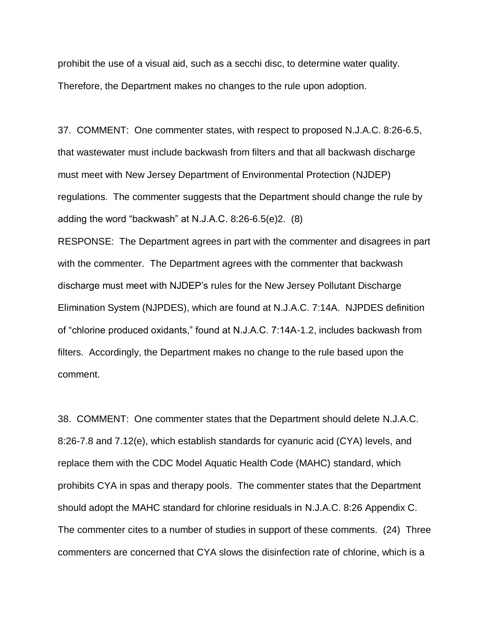prohibit the use of a visual aid, such as a secchi disc, to determine water quality. Therefore, the Department makes no changes to the rule upon adoption.

37. COMMENT: One commenter states, with respect to proposed N.J.A.C. 8:26-6.5, that wastewater must include backwash from filters and that all backwash discharge must meet with New Jersey Department of Environmental Protection (NJDEP) regulations. The commenter suggests that the Department should change the rule by adding the word "backwash" at N.J.A.C. 8:26-6.5(e)2. (8)

RESPONSE: The Department agrees in part with the commenter and disagrees in part with the commenter. The Department agrees with the commenter that backwash discharge must meet with NJDEP's rules for the New Jersey Pollutant Discharge Elimination System (NJPDES), which are found at N.J.A.C. 7:14A. NJPDES definition of "chlorine produced oxidants," found at N.J.A.C. 7:14A-1.2, includes backwash from filters. Accordingly, the Department makes no change to the rule based upon the comment.

38. COMMENT: One commenter states that the Department should delete N.J.A.C. 8:26-7.8 and 7.12(e), which establish standards for cyanuric acid (CYA) levels, and replace them with the CDC Model Aquatic Health Code (MAHC) standard, which prohibits CYA in spas and therapy pools. The commenter states that the Department should adopt the MAHC standard for chlorine residuals in N.J.A.C. 8:26 Appendix C. The commenter cites to a number of studies in support of these comments. (24) Three commenters are concerned that CYA slows the disinfection rate of chlorine, which is a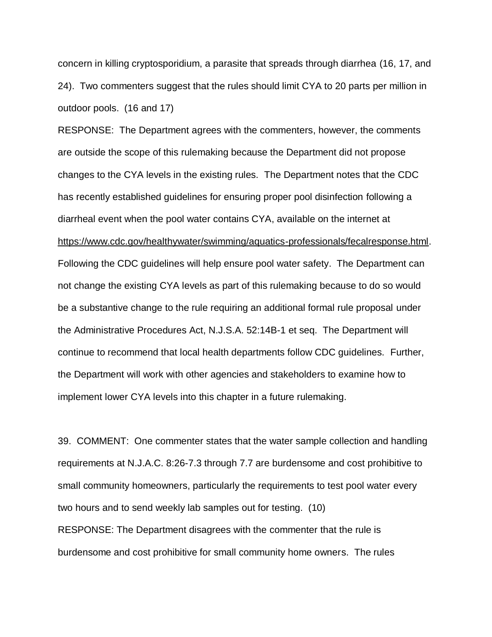concern in killing cryptosporidium, a parasite that spreads through diarrhea (16, 17, and 24). Two commenters suggest that the rules should limit CYA to 20 parts per million in outdoor pools. (16 and 17)

RESPONSE: The Department agrees with the commenters, however, the comments are outside the scope of this rulemaking because the Department did not propose changes to the CYA levels in the existing rules. The Department notes that the CDC has recently established guidelines for ensuring proper pool disinfection following a diarrheal event when the pool water contains CYA, available on the internet at https://www.cdc.gov/healthywater/swimming/aquatics-professionals/fecalresponse.html. Following the CDC guidelines will help ensure pool water safety. The Department can not change the existing CYA levels as part of this rulemaking because to do so would be a substantive change to the rule requiring an additional formal rule proposal under the Administrative Procedures Act, N.J.S.A. 52:14B-1 et seq. The Department will continue to recommend that local health departments follow CDC guidelines. Further, the Department will work with other agencies and stakeholders to examine how to implement lower CYA levels into this chapter in a future rulemaking.

39. COMMENT: One commenter states that the water sample collection and handling requirements at N.J.A.C. 8:26-7.3 through 7.7 are burdensome and cost prohibitive to small community homeowners, particularly the requirements to test pool water every two hours and to send weekly lab samples out for testing. (10) RESPONSE: The Department disagrees with the commenter that the rule is burdensome and cost prohibitive for small community home owners. The rules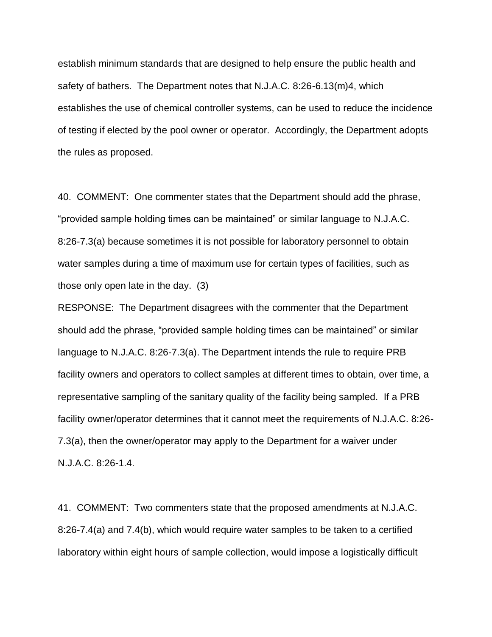establish minimum standards that are designed to help ensure the public health and safety of bathers. The Department notes that N.J.A.C. 8:26-6.13(m)4, which establishes the use of chemical controller systems, can be used to reduce the incidence of testing if elected by the pool owner or operator. Accordingly, the Department adopts the rules as proposed.

40. COMMENT: One commenter states that the Department should add the phrase, "provided sample holding times can be maintained" or similar language to N.J.A.C. 8:26-7.3(a) because sometimes it is not possible for laboratory personnel to obtain water samples during a time of maximum use for certain types of facilities, such as those only open late in the day. (3)

RESPONSE: The Department disagrees with the commenter that the Department should add the phrase, "provided sample holding times can be maintained" or similar language to N.J.A.C. 8:26-7.3(a). The Department intends the rule to require PRB facility owners and operators to collect samples at different times to obtain, over time, a representative sampling of the sanitary quality of the facility being sampled. If a PRB facility owner/operator determines that it cannot meet the requirements of N.J.A.C. 8:26- 7.3(a), then the owner/operator may apply to the Department for a waiver under N.J.A.C. 8:26-1.4.

41. COMMENT: Two commenters state that the proposed amendments at N.J.A.C. 8:26-7.4(a) and 7.4(b), which would require water samples to be taken to a certified laboratory within eight hours of sample collection, would impose a logistically difficult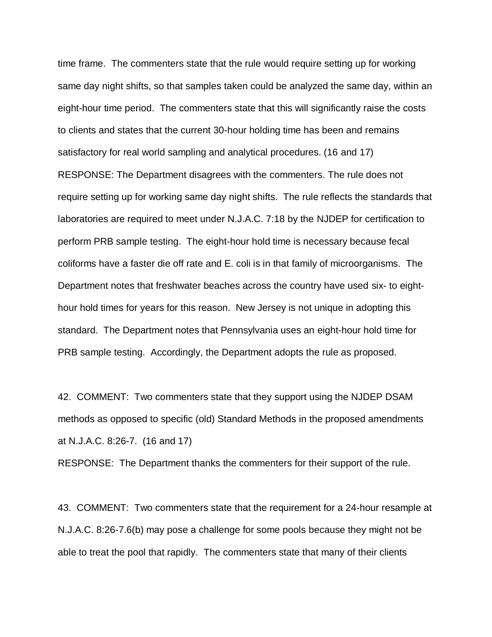time frame. The commenters state that the rule would require setting up for working same day night shifts, so that samples taken could be analyzed the same day, within an eight-hour time period. The commenters state that this will significantly raise the costs to clients and states that the current 30-hour holding time has been and remains satisfactory for real world sampling and analytical procedures. (16 and 17) RESPONSE: The Department disagrees with the commenters. The rule does not require setting up for working same day night shifts. The rule reflects the standards that laboratories are required to meet under N.J.A.C. 7:18 by the NJDEP for certification to perform PRB sample testing. The eight-hour hold time is necessary because fecal coliforms have a faster die off rate and E. coli is in that family of microorganisms. The Department notes that freshwater beaches across the country have used six- to eighthour hold times for years for this reason. New Jersey is not unique in adopting this standard. The Department notes that Pennsylvania uses an eight-hour hold time for PRB sample testing. Accordingly, the Department adopts the rule as proposed.

42. COMMENT: Two commenters state that they support using the NJDEP DSAM methods as opposed to specific (old) Standard Methods in the proposed amendments at N.J.A.C. 8:26-7. (16 and 17)

RESPONSE: The Department thanks the commenters for their support of the rule.

43. COMMENT: Two commenters state that the requirement for a 24-hour resample at N.J.A.C. 8:26-7.6(b) may pose a challenge for some pools because they might not be able to treat the pool that rapidly. The commenters state that many of their clients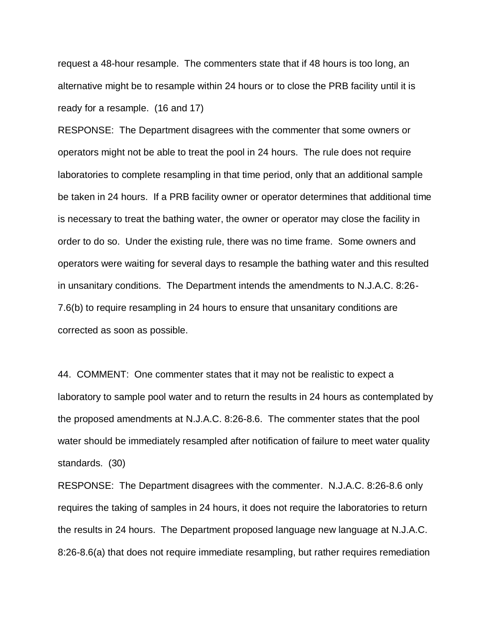request a 48-hour resample. The commenters state that if 48 hours is too long, an alternative might be to resample within 24 hours or to close the PRB facility until it is ready for a resample. (16 and 17)

RESPONSE: The Department disagrees with the commenter that some owners or operators might not be able to treat the pool in 24 hours. The rule does not require laboratories to complete resampling in that time period, only that an additional sample be taken in 24 hours. If a PRB facility owner or operator determines that additional time is necessary to treat the bathing water, the owner or operator may close the facility in order to do so. Under the existing rule, there was no time frame. Some owners and operators were waiting for several days to resample the bathing water and this resulted in unsanitary conditions. The Department intends the amendments to N.J.A.C. 8:26- 7.6(b) to require resampling in 24 hours to ensure that unsanitary conditions are corrected as soon as possible.

44. COMMENT: One commenter states that it may not be realistic to expect a laboratory to sample pool water and to return the results in 24 hours as contemplated by the proposed amendments at N.J.A.C. 8:26-8.6. The commenter states that the pool water should be immediately resampled after notification of failure to meet water quality standards. (30)

RESPONSE: The Department disagrees with the commenter. N.J.A.C. 8:26-8.6 only requires the taking of samples in 24 hours, it does not require the laboratories to return the results in 24 hours. The Department proposed language new language at N.J.A.C. 8:26-8.6(a) that does not require immediate resampling, but rather requires remediation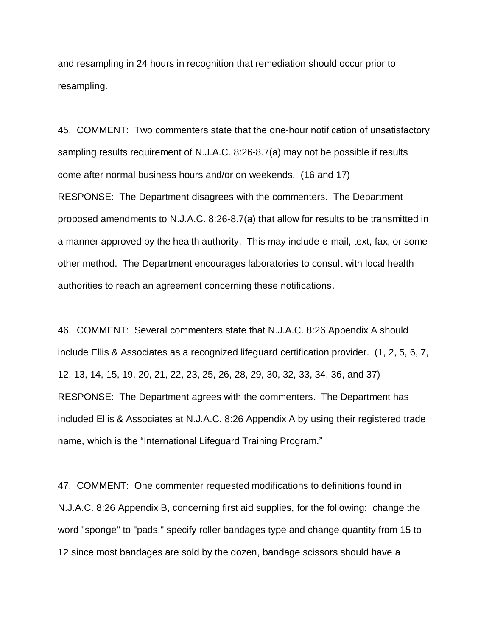and resampling in 24 hours in recognition that remediation should occur prior to resampling.

45. COMMENT: Two commenters state that the one-hour notification of unsatisfactory sampling results requirement of N.J.A.C. 8:26-8.7(a) may not be possible if results come after normal business hours and/or on weekends. (16 and 17) RESPONSE: The Department disagrees with the commenters. The Department proposed amendments to N.J.A.C. 8:26-8.7(a) that allow for results to be transmitted in a manner approved by the health authority. This may include e-mail, text, fax, or some other method. The Department encourages laboratories to consult with local health authorities to reach an agreement concerning these notifications.

46. COMMENT: Several commenters state that N.J.A.C. 8:26 Appendix A should include Ellis & Associates as a recognized lifeguard certification provider. (1, 2, 5, 6, 7, 12, 13, 14, 15, 19, 20, 21, 22, 23, 25, 26, 28, 29, 30, 32, 33, 34, 36, and 37) RESPONSE: The Department agrees with the commenters. The Department has included Ellis & Associates at N.J.A.C. 8:26 Appendix A by using their registered trade name, which is the "International Lifeguard Training Program."

47. COMMENT: One commenter requested modifications to definitions found in N.J.A.C. 8:26 Appendix B, concerning first aid supplies, for the following: change the word "sponge" to "pads," specify roller bandages type and change quantity from 15 to 12 since most bandages are sold by the dozen, bandage scissors should have a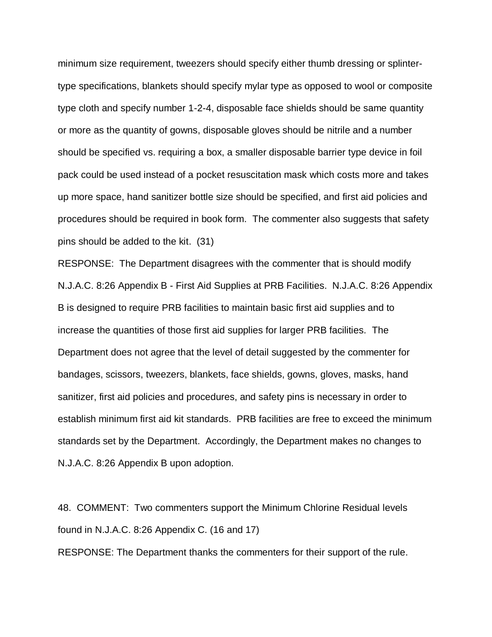minimum size requirement, tweezers should specify either thumb dressing or splintertype specifications, blankets should specify mylar type as opposed to wool or composite type cloth and specify number 1-2-4, disposable face shields should be same quantity or more as the quantity of gowns, disposable gloves should be nitrile and a number should be specified vs. requiring a box, a smaller disposable barrier type device in foil pack could be used instead of a pocket resuscitation mask which costs more and takes up more space, hand sanitizer bottle size should be specified, and first aid policies and procedures should be required in book form. The commenter also suggests that safety pins should be added to the kit. (31)

RESPONSE: The Department disagrees with the commenter that is should modify N.J.A.C. 8:26 Appendix B - First Aid Supplies at PRB Facilities. N.J.A.C. 8:26 Appendix B is designed to require PRB facilities to maintain basic first aid supplies and to increase the quantities of those first aid supplies for larger PRB facilities. The Department does not agree that the level of detail suggested by the commenter for bandages, scissors, tweezers, blankets, face shields, gowns, gloves, masks, hand sanitizer, first aid policies and procedures, and safety pins is necessary in order to establish minimum first aid kit standards. PRB facilities are free to exceed the minimum standards set by the Department. Accordingly, the Department makes no changes to N.J.A.C. 8:26 Appendix B upon adoption.

48. COMMENT: Two commenters support the Minimum Chlorine Residual levels found in N.J.A.C. 8:26 Appendix C. (16 and 17)

RESPONSE: The Department thanks the commenters for their support of the rule.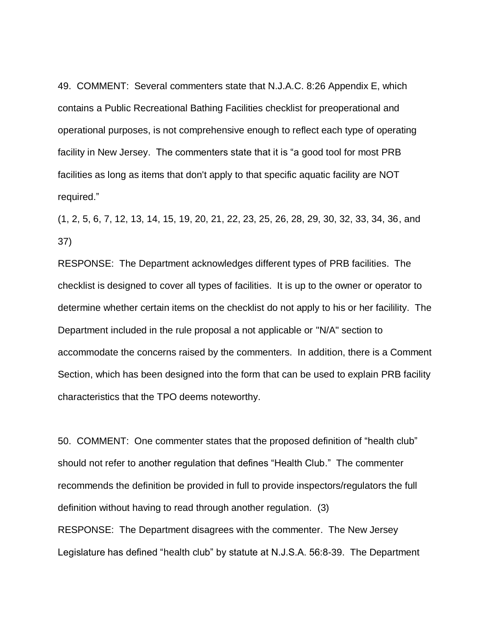49. COMMENT: Several commenters state that N.J.A.C. 8:26 Appendix E, which contains a Public Recreational Bathing Facilities checklist for preoperational and operational purposes, is not comprehensive enough to reflect each type of operating facility in New Jersey. The commenters state that it is "a good tool for most PRB facilities as long as items that don't apply to that specific aquatic facility are NOT required."

(1, 2, 5, 6, 7, 12, 13, 14, 15, 19, 20, 21, 22, 23, 25, 26, 28, 29, 30, 32, 33, 34, 36, and 37)

RESPONSE: The Department acknowledges different types of PRB facilities. The checklist is designed to cover all types of facilities. It is up to the owner or operator to determine whether certain items on the checklist do not apply to his or her facilility. The Department included in the rule proposal a not applicable or "N/A" section to accommodate the concerns raised by the commenters. In addition, there is a Comment Section, which has been designed into the form that can be used to explain PRB facility characteristics that the TPO deems noteworthy.

50. COMMENT: One commenter states that the proposed definition of "health club" should not refer to another regulation that defines "Health Club." The commenter recommends the definition be provided in full to provide inspectors/regulators the full definition without having to read through another regulation. (3) RESPONSE: The Department disagrees with the commenter. The New Jersey Legislature has defined "health club" by statute at N.J.S.A. 56:8-39. The Department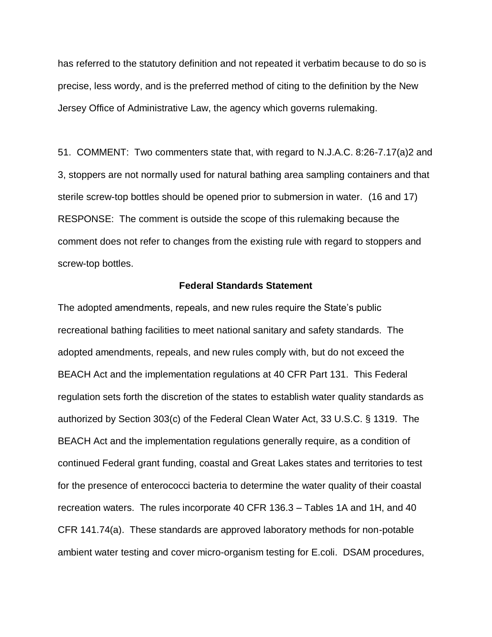has referred to the statutory definition and not repeated it verbatim because to do so is precise, less wordy, and is the preferred method of citing to the definition by the New Jersey Office of Administrative Law, the agency which governs rulemaking.

51. COMMENT: Two commenters state that, with regard to N.J.A.C. 8:26-7.17(a)2 and 3, stoppers are not normally used for natural bathing area sampling containers and that sterile screw-top bottles should be opened prior to submersion in water. (16 and 17) RESPONSE: The comment is outside the scope of this rulemaking because the comment does not refer to changes from the existing rule with regard to stoppers and screw-top bottles.

#### **Federal Standards Statement**

The adopted amendments, repeals, and new rules require the State's public recreational bathing facilities to meet national sanitary and safety standards. The adopted amendments, repeals, and new rules comply with, but do not exceed the BEACH Act and the implementation regulations at 40 CFR Part 131. This Federal regulation sets forth the discretion of the states to establish water quality standards as authorized by Section 303(c) of the Federal Clean Water Act, 33 U.S.C. § 1319. The BEACH Act and the implementation regulations generally require, as a condition of continued Federal grant funding, coastal and Great Lakes states and territories to test for the presence of enterococci bacteria to determine the water quality of their coastal recreation waters. The rules incorporate 40 CFR 136.3 – Tables 1A and 1H, and 40 CFR 141.74(a). These standards are approved laboratory methods for non-potable ambient water testing and cover micro-organism testing for E.coli. DSAM procedures,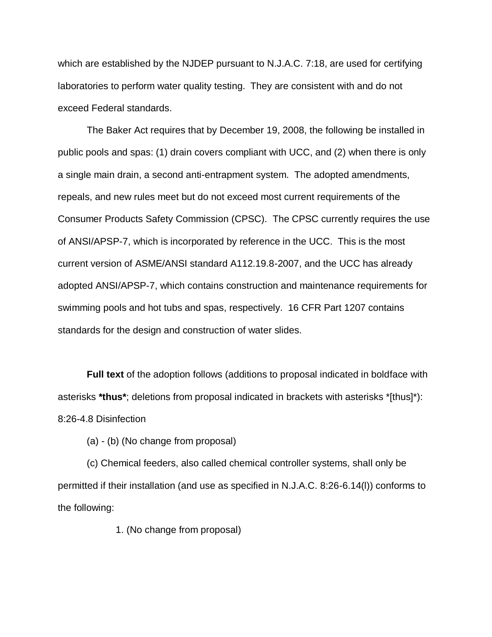which are established by the NJDEP pursuant to N.J.A.C. 7:18, are used for certifying laboratories to perform water quality testing. They are consistent with and do not exceed Federal standards.

The Baker Act requires that by December 19, 2008, the following be installed in public pools and spas: (1) drain covers compliant with UCC, and (2) when there is only a single main drain, a second anti-entrapment system. The adopted amendments, repeals, and new rules meet but do not exceed most current requirements of the Consumer Products Safety Commission (CPSC). The CPSC currently requires the use of ANSI/APSP-7, which is incorporated by reference in the UCC. This is the most current version of ASME/ANSI standard A112.19.8-2007, and the UCC has already adopted ANSI/APSP-7, which contains construction and maintenance requirements for swimming pools and hot tubs and spas, respectively. 16 CFR Part 1207 contains standards for the design and construction of water slides.

**Full text** of the adoption follows (additions to proposal indicated in boldface with asterisks **\*thus\***; deletions from proposal indicated in brackets with asterisks \*[thus]\*): 8:26-4.8 Disinfection

(a) - (b) (No change from proposal)

(c) Chemical feeders, also called chemical controller systems, shall only be permitted if their installation (and use as specified in N.J.A.C. 8:26-6.14(l)) conforms to the following:

1. (No change from proposal)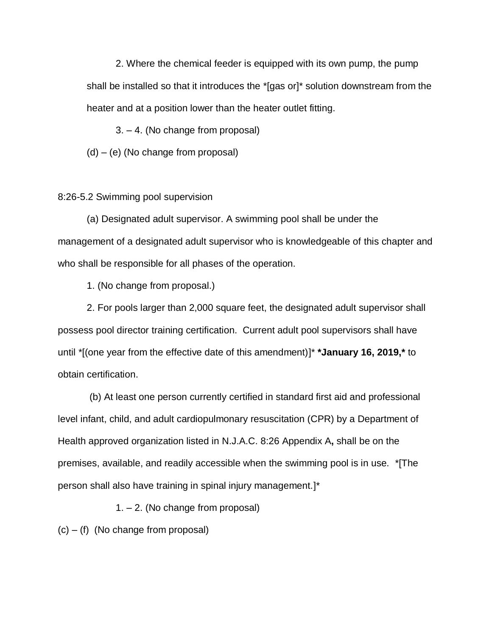2. Where the chemical feeder is equipped with its own pump, the pump shall be installed so that it introduces the \*[gas or]\* solution downstream from the heater and at a position lower than the heater outlet fitting.

3. – 4. (No change from proposal)

(d) – (e) (No change from proposal)

### 8:26-5.2 Swimming pool supervision

(a) Designated adult supervisor. A swimming pool shall be under the management of a designated adult supervisor who is knowledgeable of this chapter and who shall be responsible for all phases of the operation.

1. (No change from proposal.)

2. For pools larger than 2,000 square feet, the designated adult supervisor shall possess pool director training certification. Current adult pool supervisors shall have until \*[(one year from the effective date of this amendment)]\* **\*January 16, 2019,\*** to obtain certification.

(b) At least one person currently certified in standard first aid and professional level infant, child, and adult cardiopulmonary resuscitation (CPR) by a Department of Health approved organization listed in N.J.A.C. 8:26 Appendix A**,** shall be on the premises, available, and readily accessible when the swimming pool is in use. \*[The person shall also have training in spinal injury management.]\*

1. – 2. (No change from proposal)

 $(c) - (f)$  (No change from proposal)